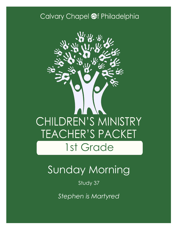### Calvary Chapel @f Philadelphia



# Sunday Morning

Study 37

*Stephen is Martyred*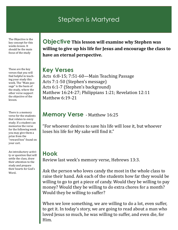### Stephen is Martyred

The Objective is the key concept for this weeks lesson. It should be the main focus of the study

These are the key verses that you will find helpful in teaching your study this week. The "Main passage" is the basis of the study, where the other verse support the objective of the lesson.

There is a memory verse for the students that relates to every study. If a student can memorize the verse for the following week you may give them a prize from the "reward box" found on your cart.

An introductory activity or question that will settle the class, draw their attention to the study and prepare their hearts for God's Word.

**Objective This lesson will examine why Stephen was willing to give up his life for Jesus and encourage the class to have an eternal perspective.**

#### **Key Verses**

Acts 6:8-15; 7:51-60—Main Teaching Passage Acts 7:1-50 (Stephen's message) Acts 6:1-7 (Stephen's background) Matthew 16:24-27; Philippians 1:21; Revelation 12:11 Matthew 6:19-21

### **Memory Verse** - Matthew 16:25

"For whoever desires to save his life will lose it, but whoever loses his life for My sake will find it."

### **Hook**

Review last week's memory verse, Hebrews 13:3.

Ask the person who loves candy the most in the whole class to raise their hand. Ask each of the students how far they would be willing to go to get a piece of candy. Would they be willing to pay money? Would they be willing to do extra chores for a month? Would they be willing to suffer?

When we love something, we are willing to do a lot, even suffer, to get it. In today's story, we are going to read about a man who loved Jesus so much, he was willing to suffer, and even die, for Him.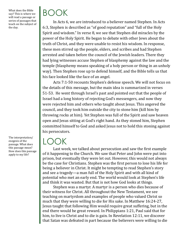What does the Bible say? This is where we will read a passage or series of passages that teach on the subject of the day.

BOOK

In Acts 6, we are introduced to a believer named Stephen. In Acts 6:3, Stephen is described as "of good reputation" and "full of the Holy Spirit and wisdom." In verse 8, we see that Stephen did miracles by the power of the Holy Spirit. He began to debate with other Jews about the truth of Christ, and they were unable to resist his wisdom. In response, these men stirred up the people, elders, and scribes and had Stephen arrested and taken before the council of the Jewish leaders. There they had lying witnesses accuse Stephen of blasphemy against the law and the temple (blasphemy means speaking of a holy person or thing in an unholy way). Then Stephen rose up to defend himself, and the Bible tells us that his face looked like the face of an angel.

Acts 7:1-50 recounts Stephen's defense speech. We will not focus on the details of this message, but the main idea is summarized in verses 51-53. He went through Israel's past and pointed out that the people of Israel had a long history of rejecting God's messengers, and now they were rejected him and others who taught about Jesus. This angered the council, and they took him outside the city to stone him (kill him by throwing rocks at him). Yet Stephen was full of the Spirit and saw heaven open and Jesus sitting at God's right hand. As they stoned him, Stephen committed himself to God and asked Jesus not to hold this stoning against his persecutors.

## LOOK

Last week, we talked about persecution and saw the first example of it happening to the Church. We saw that Peter and John were put into prison, but eventually they were let out. However, this would not always be the case for Christians. Stephen was the first person to lose his life for being a believer in Christ. It might be tempting to read Stephen's story and see a tragedy—a man full of the Holy Spirit and with all kind of potential who met an early end. The world would look at Stephen's life and think it was wasted. But that is not how God looks at things.

Stephen was a martyr. A martyr is a person who dies because of their witness for Christ. All throughout the New Testament, we see teaching on martyrdom and examples of people who valued Christ so much that they were willing to die for His sake. In Matthew 16:24-27, Jesus taught that following Him would require great suffering, but in the end there would be great reward. In Philippians 1:21, Paul said that for him, to live is Christ and to die is gain. In Revelation 12:11, we discover that Satan was defeated in part because the believers were willing to die

The interpretation/ exegesis of the passage. What does this passage mean? How does this passage apply to my life?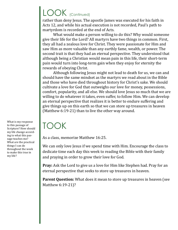# LOOK (Continued)

rather than deny Jesus. The apostle James was executed for his faith in Acts 12, and while his actual execution is not recorded, Paul's path to martyrdom is recorded at the end of Acts.

What would make a person willing to do this? Why would someone give their life for the Lord? All martyrs have two things in common. First, they all had a zealous love for Christ. They were passionate for Him and saw Him as more valuable than any earthly fame, wealth, or power. The second trait is that they had an eternal perspective. They understood that although being a Christian would mean pain in this life, their short-term pain would turn into long-term gain when they enjoy for eternity the rewards of obeying Christ.

Although following Jesus might not lead to death for us, we can and should have the same mindset as the martyrs we read about in the Bible and those who have died throughout history for Christ's sake. We should cultivate a love for God that outweighs our love for money, possessions, comfort, popularity, and all else. We should love Jesus so much that we are willing to do whatever it takes, even suffer, to follow Him. We can develop an eternal perspective that realizes it is better to endure suffering and give things up on this earth so that we can store up treasures in heaven (Matthew 6:19-21) than to live the other way around.

### TOOK

As a class, memorize Matthew 16:25.

We can only love Jesus if we spend time with Him. Encourage the class to dedicate time each day this week to reading the Bible with their family and praying in order to grow their love for God.

**Pray:** Ask the Lord to give us a love for Him like Stephen had. Pray for an eternal perspective that seeks to store up treasures in heaven.

**Parent Question:** What does it mean to store up treasures in heaven (see Matthew 6:19-21)?

What is my response to this passage of Scripture? How should my life change according to what this passage teaches me? What are the practical things I can do throughout the week to make this true in my life?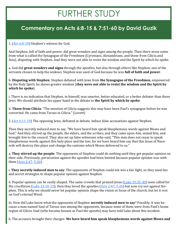# FURTHER STUDY

### **Commentary on Acts 6:8-15 & 7:51-60 by David Guzik**

#### 1. [\(Act 6:8](https://www.blueletterbible.org/kjv/acts/6/8-10/s_1024008)-10) Stephen's witness for God.

And Stephen, full of faith and power, did great wonders and signs among the people. Then there arose some from what is called the Synagogue of the Freedmen (Cyrenians, Alexandrians, and those from Cilicia and Asia), disputing with Stephen. And they were not able to resist the wisdom and the Spirit by which he spoke.

a. God did **great wonders and signs** through the apostles, but also through others like Stephen, one of the servants chosen to help the widows. Stephen was used of God because he was **full of faith and power**.

b. **Disputing with Stephen**: Stephen debated with Jews from **the Synagogue of the Freedmen**, empowered by the Holy Spirit, he shows greater wisdom (**they were not able to resist the wisdom and the Spirit by which he spoke**).

i. There is no indication that Stephen, in himself, was smarter, better educated, or a better debater than these Jews. We should attribute his upper hand in the debate to **the Spirit by which he spoke**.

ii. **Those from Cilicia**: "The mention of Cilicia suggests this may have been Paul's synagogue before he was converted. He came from Tarsus in Cilicia." (Lovett)

2. [\(Act 6:11](https://www.blueletterbible.org/kjv/acts/6/11-14/s_1024011)-14) The opposing Jews, defeated in debate, induce false accusations against Stephen.

Then they secretly induced men to say, "We have heard him speak blasphemous words against Moses and God." And they stirred up the people, the elders, and the scribes; and they came upon *him,* seized him, and brought *him* to the council. They also set up false witnesses who said, "This man does not cease to speak blasphemous words against this holy place and the law; for we have heard him say that this Jesus of Nazareth will destroy this place and change the customs which Moses delivered to us."

a. **They stirred up the people**: The opponents of Stephen could do nothing until they got popular opinion on their side. Previously, persecution against the apostles had been limited because popular opinion was with them ([Acts 2:47,](https://www.blueletterbible.org/kjv/acts/2/47/s_1020047) [5:26\)](https://www.blueletterbible.org/kjv/acts/5/26/s_1023026).

i. **They secretly induced men to say**: The opponents of Stephen could not win a fair fight, so they used lies and secret strategies to shape popular opinion against Stephen.

ii. Popular opinion can be easily shaped. The same crowds that praised Jesus ([Luke 19:35](https://www.blueletterbible.org/kjv/luke/19/35-40/s_992035)-40) soon called for His crucifixion [\(Luke 23:18](https://www.blueletterbible.org/kjv/luke/23/18-23/s_996018)-23); then they loved the apostles [\(Acts 2:47,](https://www.blueletterbible.org/kjv/acts/2/47/s_1020047) [5:26\)](https://www.blueletterbible.org/kjv/acts/5/26/s_1023026) but now cry out against Stephen. This is why we should never let popular opinion shape the vision or focus of the church, but let it rest on God's eternal Word.

iii. How did Luke know what the opponents of Stephen **secretly induced men to say**? Possibly, it was because a man named Saul of Tarsus was among the opponents, because some of them were from Paul's home region of Cilicia. Saul (who became known as Paul the apostle) may have told Luke about this incident.

b. The accusers brought their charges: **We have heard him speak blasphemous words against Moses and**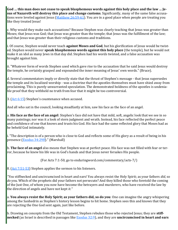**God … this man does not cease to speak blasphemous words against this holy place and the law … Jesus of Nazareth will destroy this place and change customs**. Significantly, many of the same false accusa-tions were leveled against Jesus [\(Matthew 26:59](https://www.blueletterbible.org/kjv/matthew/26/59-61/s_955059)-61). You are in a good place when people are treating you like they treated Jesus!

c. Why would they make such accusations? Because Stephen was clearly teaching that Jesus was greater than Moses; that Jesus was God; that Jesus was greater than the temple; that Jesus was the fulfillment of the law; and that Jesus was greater than their religious customs and traditions.

i. Of course, Stephen would never teach **against Moses and God**, but his glorification of Jesus would be twisted. Stephen would never **speak blasphemous words against this holy place** (the temple), but he would not make it an idol as many Jews in that day did. Stephen had his words twisted, and a false accusation was brought against him.

ii. "Whatever form of words Stephen used which gave rise to the accusation that he said Jesus would destroy the temple, he certainly grasped and expounded the inner meaning of Jesus' own words." (Bruce).

d. Several commentators imply or directly state that the thrust of Stephen's message - that Jesus supersedes the temple and its localized worship - was a doctrine that the apostles themselves must have shied away from proclaiming. This is purely unwarranted speculation. The demonstrated boldness of the apostles is undeniable proof that they withheld no truth from fear that it might be too controversial.

3.  $(Act 6:15)$  Stephen's countenance when accused.

And all who sat in the council, looking steadfastly at him, saw his face as the face of an angel.

a. **His face as the face of an angel**: Stephen's face did not have that mild, soft, angelic look that we see in so many paintings; nor was it a look of stern judgment and wrath. Instead, his face reflected the perfect peace and confidence of one that knows and trusts his God. His face had the same reflected glory that Moses had as he beheld God intimately.

i. "The description is of a person who is close to God and reflects some of His glory as a result of being in his presence [\(Exodus 34:29ff\).](https://www.blueletterbible.org/kjv/exodus/34/29/s_84029)" (Marshall)

b. **The face of an angel** also means that Stephen was at perfect peace. His face was not filled with fear or terror, because he knew his life was in God's hands and that Jesus never forsakes His people.

(For Acts 7:1-50, go to enduringword.com/commentary/acts-7/)

 $8.$  ( $Act$  7:51-53) Stephen applies the sermon to his listeners.

*"You* stiffnecked and uncircumcised in heart and ears! You always resist the Holy Spirit; as your fathers *did,* so *do* you. Which of the prophets did your fathers not persecute? And they killed those who foretold the coming of the Just One, of whom you now have become the betrayers and murderers, who have received the law by the direction of angels and have not kept *it."*

a. **You always resist the Holy Spirit; as your fathers did, so do you**: One can imagine the angry whispering among the Sanhedrin as Stephen's history lesson begins to hit home. Stephen sees this and knows that they are rejecting the One God sent again, just like before.

b. Drawing on concepts from the Old Testament, Stephen rebukes those who rejected Jesus; they are **stiffnecked** (as Israel is described in passages like [Exodus 32:9\)](https://www.blueletterbible.org/kjv/exodus/32/9/s_82009), and they are **uncircumcised in heart and ears**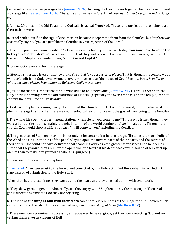(as Israel is described in passages like <u>Jeremiah 9:26</u>). In using the two phrases together, he may have in mind a passage like [Deuteronomy 10:16:](https://www.blueletterbible.org/kjv/deuteronomy/10/16/s_163016) *Therefore circumcise the foreskin of your heart, and be stiff-necked no longer*.

i. Almost 20 times in the Old Testament, God calls Israel **stiff-necked**. These religious leaders are being just as their fathers were.

ii. Israel prided itself on the sign of circumcision because it separated them from the Gentiles, but Stephen was essentially saying, "you are just like the Gentiles in your rejection of the Lord."

c. His main point was unmistakable: "As Israel was in its history, so you are today, **you now have become the betrayers and murderers**." Israel was proud that they had received the law of God and were guardians of the law, but Stephen reminded them, "you **have not kept it**."

9. Observations on Stephen's message.

a. Stephen's message is essentially twofold. First, *God is no respecter of places*. That is, though the temple was a wonderful gift from God, it was wrong to overemphasize it as "the house of God." Second, *Israel is guilty of what they have always been guilty of: Rejecting God's messengers*.

b. Jesus said that it is impossible for old wineskins to hold new wine ([Matthew 9:17\)](https://www.blueletterbible.org/kjv/matthew/9/17/s_938017). Through Stephen, the Holy Spirit is showing how the old traditions of Judaism (especially the over-emphasis on the temple) cannot contain the new wine of Christianity.

c. God used Stephen's coming martyrdom to send the church out into the entire world, but God also used Stephen's message to show that there was no theological reason to prevent the gospel from going to the Gentiles.

i. The whole idea behind a permanent, stationary temple is "you come to me." This is why Israel, though they were a light to the nations, mainly thought in terms of the world coming to *them* for salvation. Through the church, God would show a different heart: "I will come to you," including the Gentiles.

d. The greatness of Stephen's sermon is not only in its content, but in its courage. "He takes the sharp knife of the Word and rips up the sins of the people, laying open the inward parts of their hearts, and the secrets of their souls … He could not have delivered that searching address with greater fearlessness had he been assured that they would thank him for the operation; the fact that his death was certain had no other effect upon him than to make him yet more zealous." (Spurgeon)

B. Reaction to the sermon of Stephen.

1. ([Act 7:54\)](https://www.blueletterbible.org/kjv/acts/7/54/s_1025054) They **were cut to the heart**, and convicted by the Holy Spirit. Yet the Sanhedrin reacted with rage instead of submission to the Holy Spirit.

When they heard these things they were cut to the heart, and they gnashed at him with *their* teeth.

a. They show great anger, but who, really, are they angry with? Stephen is only the messenger. Their real anger is directed against the God they are rejecting.

b. The idea of **gnashing at him with their teeth** can't help but remind us of the imagery of Hell. Seven different times, Jesus described Hell as a place of *weeping and gnashing of teeth* ([Matthew 8:12\).](https://www.blueletterbible.org/kjv/matthew/8/12/s_937012)

i. These men were prominent, successful, and appeared to be religious; yet they were rejecting God and revealing themselves as citizens of Hell.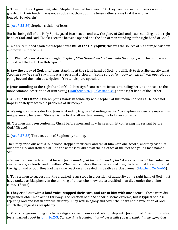ii. They didn't start **gnashing** when Stephen finished his speech. "All they could do in their frenzy was to gnash with their teeth. It was not a sudden outburst but the tense rather shows that it was prolonged." (Gaebelein)

2. ([Act 7:55](https://www.blueletterbible.org/kjv/acts/7/55-56/s_1025055)-56) Stephen's vision of Jesus.

But he, being full of the Holy Spirit, gazed into heaven and saw the glory of God, and Jesus standing at the right hand of God, and said, "Look! I see the heavens opened and the Son of Man standing at the right hand of God!"

a. We are reminded again that Stephen was **full of the Holy Spirit**; this was the source of his courage, wisdom and power in preaching.

i. J.B. Phillips' translation has insight: *Stephen, filled through all his being with the Holy Spirit*. This is how we should be filled with the Holy Spirit!

b. **Saw the glory of God, and Jesus standing at the right hand of God**: It is difficult to describe exactly what Stephen saw. We can't say if this was a personal vision or if some sort of "window to heaven" was opened, but going beyond the plain description of the text is pure speculation.

c. **Jesus standing at the right hand of God**: It is significant to note Jesus is **standing** here, as opposed to the more common description of Him *sitting* ([Matthew 26:64,](https://www.blueletterbible.org/kjv/matthew/26/64/s_955064) [Colossians 3:1\)](https://www.blueletterbible.org/kjv/colossians/3/1/s_1110001) at the right hand of the Father.

i. Why is **Jesus standing** here? Jesus stands in solidarity with Stephen at this moment of crisis. He does not impassionately react to the problems of His people.

ii. We might also consider that Jesus is standing to give a "standing ovation" to Stephen, whose fate makes him unique among believers. Stephen is the first of all martyrs among the followers of Jesus.

iii. "Stephen has been confessing Christ before men, and now he sees Christ confessing his servant before God." (Bruce)

3. ([Act 7:57](https://www.blueletterbible.org/kjv/acts/7/57-58/s_1025057)-58) The execution of Stephen by stoning.

Then they cried out with a loud voice, stopped their ears, and ran at him with one accord; and they cast *him* out of the city and stoned *him.* And the witnesses laid down their clothes at the feet of a young man named Saul.

a. When Stephen declared that he saw Jesus *standing at the right hand of God*, it was too much. The Sanhedrin react quickly, violently, and together. When Jesus, before this same body of men, declared that He would sit at the right hand of God, they had the same reaction and sealed his death as a blasphemer [\(Matthew 26:64](https://www.blueletterbible.org/kjv/matthew/26/64-66/s_955064)-66).

i. "For Stephen to suggest that the crucified Jesus stood in a position of authority at the right hand of God must have ranked as blasphemy in the thinking of those who knew that a crucified man died under the divine curse." (Bruce)

b. **They cried out with a loud voice, stopped their ears, and ran at him with one accord**: These were distinguished, older men acting this way! The reaction of the Sanhedrin seems extreme, but is typical of those rejecting God and lost in spiritual insanity. They wail in agony and cover their ears at the revelation of God, which they regard as blasphemy.

i. What a dangerous thing it is to be religious apart from a real relationship with Jesus Christ! This fulfills what Jesus warned about in [John 16:2](https://www.blueletterbible.org/kjv/john/16/2-3/s_1013002)-3: *Yes, the time is coming that whoever kills you will think that he offers God*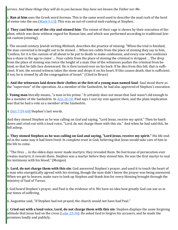*service. And these things they will do to you because they have not known the Father nor Me*.

c. **Ran at him** uses the Greek word *hormao*. This is the same word used to describe the mad rush of the herd of swine into the sea (Mark  $5:13$ ). This was an out-of-control mob rushing at Stephen.

d. **They cast him out of the city and stoned him**: The extent of their rage is shown by their execution of Stephen, which was done without regard for Roman law, and which was performed according to traditional Jewish custom (stoning).

i. The second-century Jewish writing *Mishnah*, describes the practice of stoning: "When the trial is finished, the man convicted is brought out to be stoned … When ten cubits from the place of stoning they say to him, 'Confess, for it is the custom of all about to be put to death to make confession, and every one who confesses has a share in the age to come' … Four cubits from the place of stoning the criminal is stripped … The drop from the place of stoning was twice the height of a man. One of the witnesses pushes the criminal from behind, so that he falls face downward. He is then turned over on his back. If he dies from this fall, that is sufficient. If not, the second witness takes the stone and drops it on his heart. If this causes death, that is sufficient; if not, he is stoned by all the congregation of Israel." (Cited in Bruce)

e. **And the witnesses laid down their clothes at the feet of a young man named Saul**: Saul stood there as the "supervisor" of the operation. As a member of the Sanhedrin, he had also approved of Stephen's execution.

i. **Young man** literally means, "a man in his prime." It certainly does not mean that Saul wasn't old enough to be a member of the Sanhedrin. In [Acts 26:10,](https://www.blueletterbible.org/kjv/acts/26/10/s_1044010) Paul says *I cast my vote against them*, and the plain implication was that he had a vote as a member of the Sanhedrin.

4. ([Act 7:59](https://www.blueletterbible.org/kjv/acts/7/59-60/s_1025059)-60) Stephen's last words.

And they stoned Stephen as he was calling on *God* and saying, "Lord Jesus, receive my spirit." Then he knelt down and cried out with a loud voice, "Lord, do not charge them with this sin." And when he had said this, he fell asleep.

a. **They stoned Stephen as he was calling on God and saying, "Lord Jesus, receive my spirit."** His life ended in the same way it had been lived: In complete trust in God, believing that Jesus would take care of him in the life to come.

i. "The fires … in the olden days never made martyrs; they revealed them. No hurricane of persecution ever creates martyrs; it reveals them. Stephen was a martyr before they stoned him. He was the first martyr to seal his testimony with his blood." (Morgan)

b. **Lord, do not charge them with this sin**: God answered Stephen's prayer, and used it to touch the heart of a man who energetically agreed with his stoning, though the man didn't know the prayer was being answered. When we get to heaven, make sure to look up Stephen and thank him for every blessing brought through the ministry of Saul of Tarsus.

i. God heard Stephen's prayer, and Paul is the evidence of it. We have no idea how greatly God can use us in our times of suffering.

ii. Augustine said, "If Stephen had not prayed, the church would not have had Paul."

c. **Cried out with a loud voice, Lord, do not charge them with this sin**: Stephen displays the same forgiving attitude that Jesus had on the cross (Luke  $23:34$ ). He asked God to forgive his accusers, and he made the promises loudly and publicly.